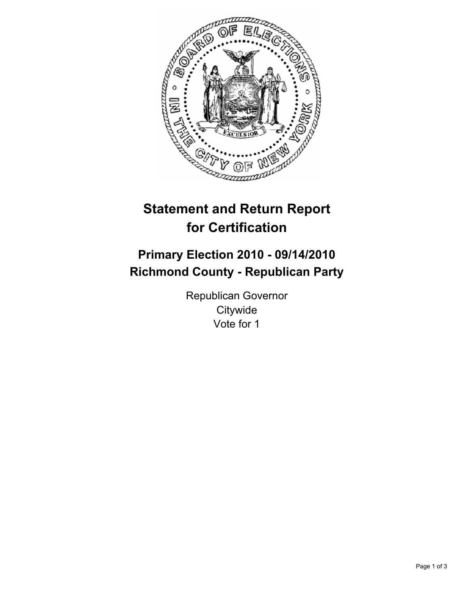

# **Statement and Return Report for Certification**

## **Primary Election 2010 - 09/14/2010 Richmond County - Republican Party**

Republican Governor **Citywide** Vote for 1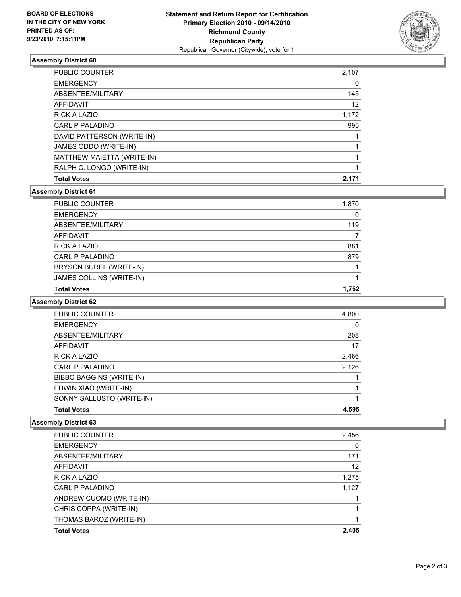

## **Assembly District 60**

| <b>PUBLIC COUNTER</b>      | 2,107 |
|----------------------------|-------|
| <b>EMERGENCY</b>           | 0     |
| ABSENTEE/MILITARY          | 145   |
| <b>AFFIDAVIT</b>           | 12    |
| <b>RICK A LAZIO</b>        | 1.172 |
| CARL P PALADINO            | 995   |
| DAVID PATTERSON (WRITE-IN) |       |
| JAMES ODDO (WRITE-IN)      |       |
| MATTHEW MAIETTA (WRITE-IN) |       |
| RALPH C. LONGO (WRITE-IN)  |       |
| <b>Total Votes</b>         | 2,171 |

## **Assembly District 61**

| BRYSON BUREL (WRITE-IN)<br>JAMES COLLINS (WRITE-IN) |       |
|-----------------------------------------------------|-------|
| <b>CARL P PALADINO</b>                              | 879   |
| <b>RICK A LAZIO</b>                                 | 881   |
| <b>AFFIDAVIT</b>                                    |       |
| ABSENTEE/MILITARY                                   | 119   |
| <b>EMERGENCY</b>                                    | 0     |
| PUBLIC COUNTER                                      | 1,870 |

#### **Assembly District 62**

| <b>PUBLIC COUNTER</b>     | 4,800 |
|---------------------------|-------|
| <b>EMERGENCY</b>          | 0     |
| ABSENTEE/MILITARY         | 208   |
| AFFIDAVIT                 | 17    |
| <b>RICK A LAZIO</b>       | 2,466 |
| CARL P PALADINO           | 2,126 |
| BIBBO BAGGINS (WRITE-IN)  |       |
| EDWIN XIAO (WRITE-IN)     |       |
| SONNY SALLUSTO (WRITE-IN) |       |
| <b>Total Votes</b>        | 4,595 |

## **Assembly District 63**

| PUBLIC COUNTER          | 2,456 |
|-------------------------|-------|
| <b>EMERGENCY</b>        | 0     |
| ABSENTEE/MILITARY       | 171   |
| AFFIDAVIT               | 12    |
| <b>RICK A LAZIO</b>     | 1,275 |
| CARL P PALADINO         | 1,127 |
| ANDREW CUOMO (WRITE-IN) |       |
| CHRIS COPPA (WRITE-IN)  |       |
| THOMAS BAROZ (WRITE-IN) |       |
| <b>Total Votes</b>      | 2.405 |